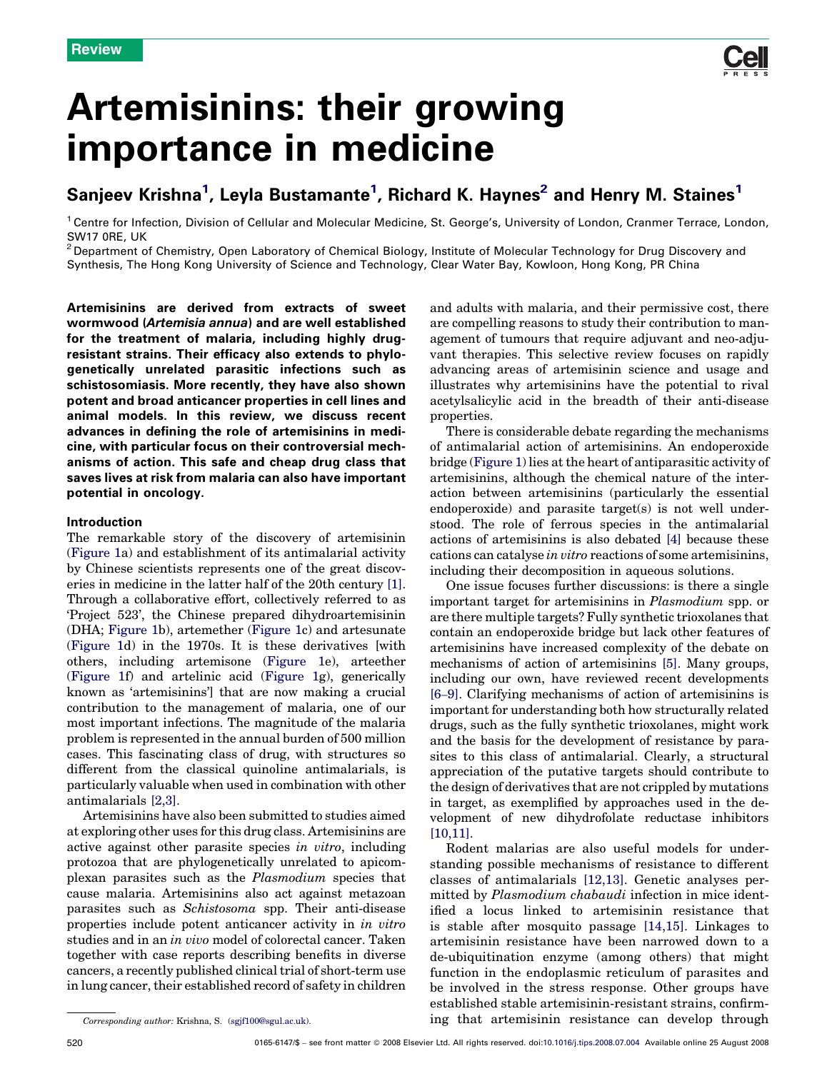

# Artemisinins: their growing importance in medicine

## Sanjeev Krishna $^1$ , Leyla Bustamante $^1$ , Richard K. Haynes $^2$  and Henry M. Staines $^1$

<sup>1</sup> Centre for Infection, Division of Cellular and Molecular Medicine, St. George's, University of London, Cranmer Terrace, London, SW17 0RE, UK

<sup>2</sup> Department of Chemistry, Open Laboratory of Chemical Biology, Institute of Molecular Technology for Drug Discovery and Synthesis, The Hong Kong University of Science and Technology, Clear Water Bay, Kowloon, Hong Kong, PR China

Artemisinins are derived from extracts of sweet wormwood (Artemisia annua) and are well established for the treatment of malaria, including highly drugresistant strains. Their efficacy also extends to phylogenetically unrelated parasitic infections such as schistosomiasis. More recently, they have also shown potent and broad anticancer properties in cell lines and animal models. In this review, we discuss recent advances in defining the role of artemisinins in medicine, with particular focus on their controversial mechanisms of action. This safe and cheap drug class that saves lives at risk from malaria can also have important potential in oncology.

#### Introduction

The remarkable story of the discovery of artemisinin ([Figure 1a](#page-1-0)) and establishment of its antimalarial activity by Chinese scientists represents one of the great discoveries in medicine in the latter half of the 20th century [\[1\]](#page-5-0). Through a collaborative effort, collectively referred to as 'Project 523', the Chinese prepared dihydroartemisinin (DHA; [Figure 1](#page-1-0)b), artemether ([Figure 1c](#page-1-0)) and artesunate ([Figure 1d](#page-1-0)) in the 1970s. It is these derivatives [with others, including artemisone [\(Figure 1e](#page-1-0)), arteether ([Figure 1f](#page-1-0)) and artelinic acid [\(Figure 1](#page-1-0)g), generically known as 'artemisinins'] that are now making a crucial contribution to the management of malaria, one of our most important infections. The magnitude of the malaria problem is represented in the annual burden of 500 million cases. This fascinating class of drug, with structures so different from the classical quinoline antimalarials, is particularly valuable when used in combination with other antimalarials [\[2,3\].](#page-5-0)

Artemisinins have also been submitted to studies aimed at exploring other uses for this drug class. Artemisinins are active against other parasite species in vitro, including protozoa that are phylogenetically unrelated to apicomplexan parasites such as the Plasmodium species that cause malaria. Artemisinins also act against metazoan parasites such as Schistosoma spp. Their anti-disease properties include potent anticancer activity in in vitro studies and in an in vivo model of colorectal cancer. Taken together with case reports describing benefits in diverse cancers, a recently published clinical trial of short-term use in lung cancer, their established record of safety in children and adults with malaria, and their permissive cost, there are compelling reasons to study their contribution to management of tumours that require adjuvant and neo-adjuvant therapies. This selective review focuses on rapidly advancing areas of artemisinin science and usage and illustrates why artemisinins have the potential to rival acetylsalicylic acid in the breadth of their anti-disease properties.

There is considerable debate regarding the mechanisms of antimalarial action of artemisinins. An endoperoxide bridge ([Figure 1\)](#page-1-0) lies at the heart of antiparasitic activity of artemisinins, although the chemical nature of the interaction between artemisinins (particularly the essential endoperoxide) and parasite target(s) is not well understood. The role of ferrous species in the antimalarial actions of artemisinins is also debated [\[4\]](#page-5-0) because these cations can catalyse in vitro reactions of some artemisinins, including their decomposition in aqueous solutions.

One issue focuses further discussions: is there a single important target for artemisinins in Plasmodium spp. or are there multiple targets? Fully synthetic trioxolanes that contain an endoperoxide bridge but lack other features of artemisinins have increased complexity of the debate on mechanisms of action of artemisinins [\[5\].](#page-5-0) Many groups, including our own, have reviewed recent developments [6–[9\].](#page-5-0) Clarifying mechanisms of action of artemisinins is important for understanding both how structurally related drugs, such as the fully synthetic trioxolanes, might work and the basis for the development of resistance by parasites to this class of antimalarial. Clearly, a structural appreciation of the putative targets should contribute to the design of derivatives that are not crippled by mutations in target, as exemplified by approaches used in the development of new dihydrofolate reductase inhibitors [\[10,11\]](#page-5-0).

Rodent malarias are also useful models for understanding possible mechanisms of resistance to different classes of antimalarials [\[12,13\]](#page-5-0). Genetic analyses permitted by Plasmodium chabaudi infection in mice identified a locus linked to artemisinin resistance that is stable after mosquito passage [\[14,15\]](#page-5-0). Linkages to artemisinin resistance have been narrowed down to a de-ubiquitination enzyme (among others) that might function in the endoplasmic reticulum of parasites and be involved in the stress response. Other groups have established stable artemisinin-resistant strains, confirming that artemisinin resistance can develop through

Corresponding author: Krishna, S. [\(sgjf100@sgul.ac.uk\)](mailto:sgjf100@sgul.ac.uk).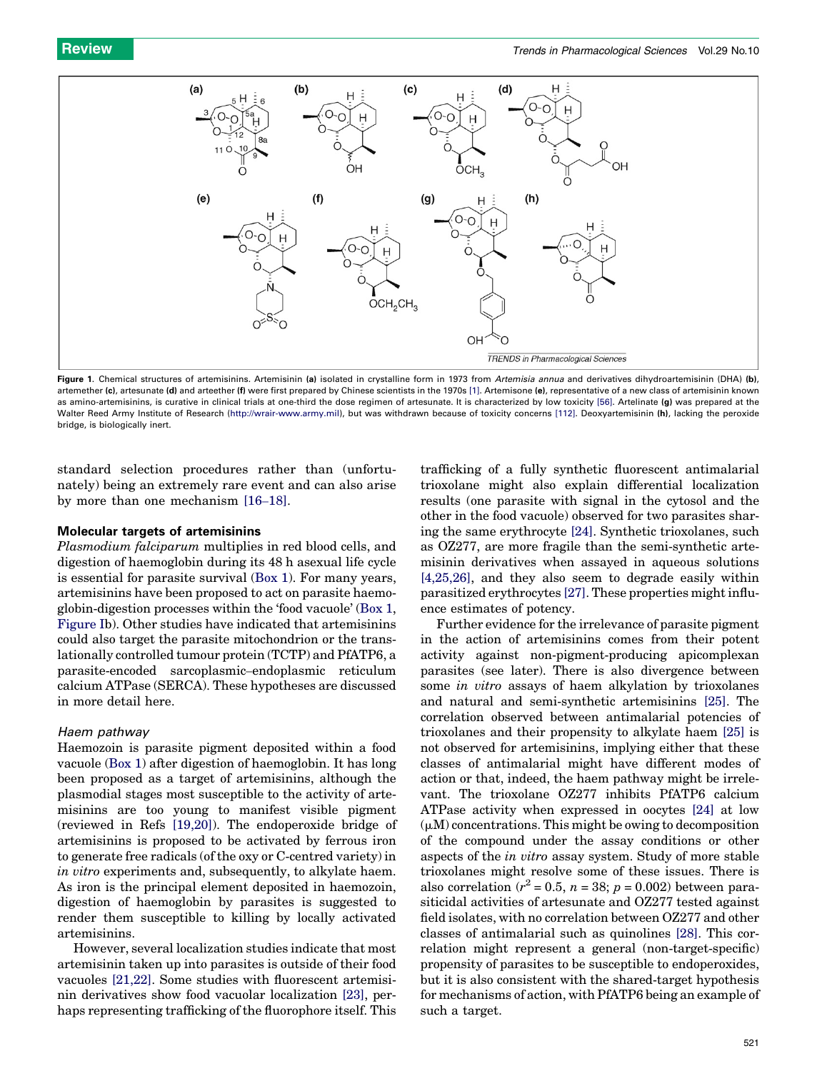<span id="page-1-0"></span>

Figure 1. Chemical structures of artemisinins. Artemisinin (a) isolated in crystalline form in 1973 from Artemisia annua and derivatives dihydroartemisinin (DHA) (b). artemether (c), artesunate (d) and arteether (f) were first prepared by Chinese scientists in the 1970s [\[1\]](#page-5-0). Artemisone (e), representative of a new class of artemisinin known as amino-artemisinins, is curative in clinical trials at one-third the dose regimen of artesunate. It is characterized by low toxicity [\[56\].](#page-6-0) Artelinate (g) was prepared at the Walter Reed Army Institute of Research ([http://wrair-www.army.mil](http://wrair-www.army.mil/)), but was withdrawn because of toxicity concerns [\[112\]](#page-7-0). Deoxyartemisinin (h), lacking the peroxide bridge, is biologically inert.

standard selection procedures rather than (unfortunately) being an extremely rare event and can also arise by more than one mechanism [16–[18\].](#page-5-0)

#### Molecular targets of artemisinins

Plasmodium falciparum multiplies in red blood cells, and digestion of haemoglobin during its 48 h asexual life cycle is essential for parasite survival ([Box 1\)](#page-2-0). For many years, artemisinins have been proposed to act on parasite haemoglobin-digestion processes within the 'food vacuole' ([Box 1](#page-2-0), [Figure Ib](#page-2-0)). Other studies have indicated that artemisinins could also target the parasite mitochondrion or the translationally controlled tumour protein (TCTP) and PfATP6, a parasite-encoded sarcoplasmic–endoplasmic reticulum calcium ATPase (SERCA). These hypotheses are discussed in more detail here.

#### Haem pathway

Haemozoin is parasite pigment deposited within a food vacuole ([Box 1](#page-2-0)) after digestion of haemoglobin. It has long been proposed as a target of artemisinins, although the plasmodial stages most susceptible to the activity of artemisinins are too young to manifest visible pigment (reviewed in Refs [\[19,20\]](#page-5-0)). The endoperoxide bridge of artemisinins is proposed to be activated by ferrous iron to generate free radicals (of the oxy or C-centred variety) in in vitro experiments and, subsequently, to alkylate haem. As iron is the principal element deposited in haemozoin, digestion of haemoglobin by parasites is suggested to render them susceptible to killing by locally activated artemisinins.

However, several localization studies indicate that most artemisinin taken up into parasites is outside of their food vacuoles [\[21,22\]](#page-5-0). Some studies with fluorescent artemisinin derivatives show food vacuolar localization [\[23\]](#page-5-0), perhaps representing trafficking of the fluorophore itself. This

trafficking of a fully synthetic fluorescent antimalarial trioxolane might also explain differential localization results (one parasite with signal in the cytosol and the other in the food vacuole) observed for two parasites sharing the same erythrocyte [\[24\]](#page-6-0). Synthetic trioxolanes, such as OZ277, are more fragile than the semi-synthetic artemisinin derivatives when assayed in aqueous solutions [\[4,25,26\],](#page-5-0) and they also seem to degrade easily within parasitized erythrocytes [\[27\]](#page-6-0). These properties might influence estimates of potency.

Further evidence for the irrelevance of parasite pigment in the action of artemisinins comes from their potent activity against non-pigment-producing apicomplexan parasites (see later). There is also divergence between some in vitro assays of haem alkylation by trioxolanes and natural and semi-synthetic artemisinins [\[25\]](#page-6-0). The correlation observed between antimalarial potencies of trioxolanes and their propensity to alkylate haem [\[25\]](#page-6-0) is not observed for artemisinins, implying either that these classes of antimalarial might have different modes of action or that, indeed, the haem pathway might be irrelevant. The trioxolane OZ277 inhibits PfATP6 calcium ATPase activity when expressed in oocytes [\[24\]](#page-6-0) at low  $(\mu M)$  concentrations. This might be owing to decomposition of the compound under the assay conditions or other aspects of the in vitro assay system. Study of more stable trioxolanes might resolve some of these issues. There is also correlation ( $r^2 = 0.5$ ,  $n = 38$ ;  $p = 0.002$ ) between parasiticidal activities of artesunate and OZ277 tested against field isolates, with no correlation between OZ277 and other classes of antimalarial such as quinolines [\[28\]](#page-6-0). This correlation might represent a general (non-target-specific) propensity of parasites to be susceptible to endoperoxides, but it is also consistent with the shared-target hypothesis for mechanisms of action, with PfATP6 being an example of such a target.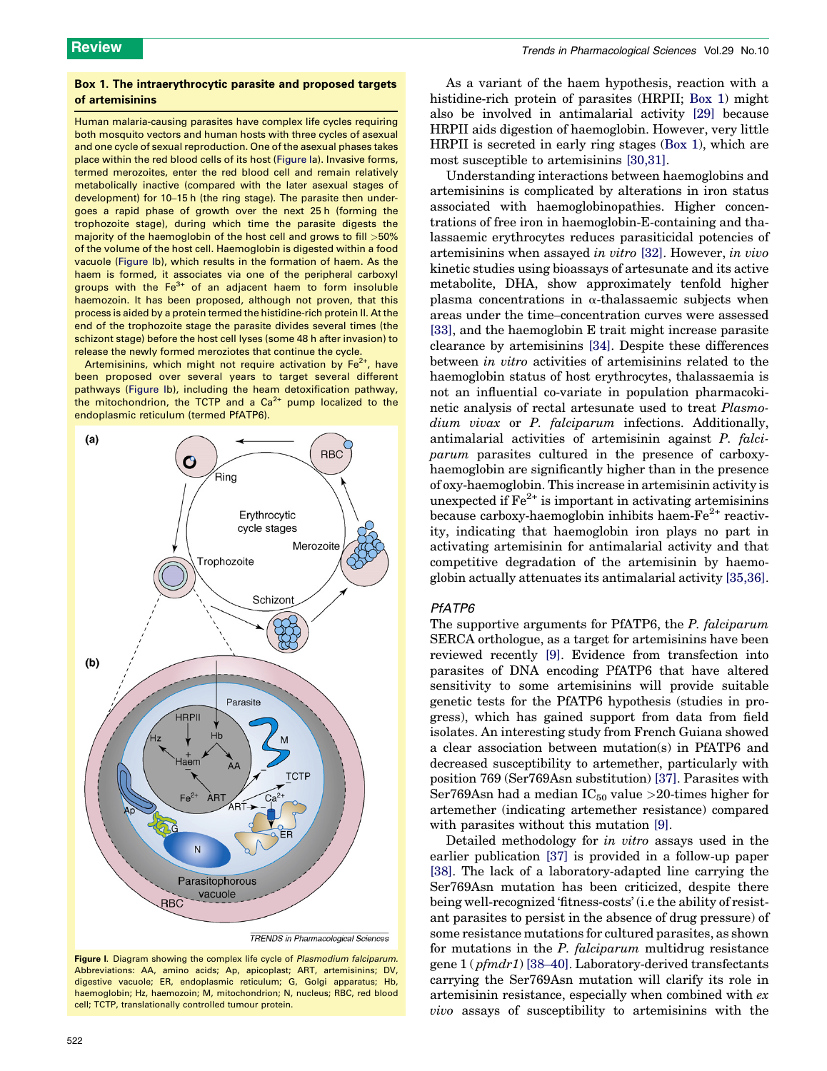#### <span id="page-2-0"></span>Box 1. The intraerythrocytic parasite and proposed targets of artemisinins

Human malaria-causing parasites have complex life cycles requiring both mosquito vectors and human hosts with three cycles of asexual and one cycle of sexual reproduction. One of the asexual phases takes place within the red blood cells of its host (Figure Ia). Invasive forms, termed merozoites, enter the red blood cell and remain relatively metabolically inactive (compared with the later asexual stages of development) for 10–15 h (the ring stage). The parasite then undergoes a rapid phase of growth over the next 25 h (forming the trophozoite stage), during which time the parasite digests the majority of the haemoglobin of the host cell and grows to fill >50% of the volume of the host cell. Haemoglobin is digested within a food vacuole (Figure Ib), which results in the formation of haem. As the haem is formed, it associates via one of the peripheral carboxyl groups with the  $Fe<sup>3+</sup>$  of an adjacent haem to form insoluble haemozoin. It has been proposed, although not proven, that this process is aided by a protein termed the histidine-rich protein II. At the end of the trophozoite stage the parasite divides several times (the schizont stage) before the host cell lyses (some 48 h after invasion) to release the newly formed meroziotes that continue the cycle.

Artemisinins, which might not require activation by  $Fe<sup>2+</sup>$ , have been proposed over several years to target several different pathways (Figure Ib), including the heam detoxification pathway, the mitochondrion, the TCTP and a  $Ca<sup>2+</sup>$  pump localized to the endoplasmic reticulum (termed PfATP6).



Figure I. Diagram showing the complex life cycle of Plasmodium falciparum. Abbreviations: AA, amino acids; Ap, apicoplast; ART, artemisinins; DV, digestive vacuole; ER, endoplasmic reticulum; G, Golgi apparatus; Hb, haemoglobin; Hz, haemozoin; M, mitochondrion; N, nucleus; RBC, red blood cell; TCTP, translationally controlled tumour protein.

As a variant of the haem hypothesis, reaction with a histidine-rich protein of parasites (HRPII; Box 1) might also be involved in antimalarial activity [\[29\]](#page-6-0) because HRPII aids digestion of haemoglobin. However, very little HRPII is secreted in early ring stages (Box 1), which are most susceptible to artemisinins [\[30,31\].](#page-6-0)

Understanding interactions between haemoglobins and artemisinins is complicated by alterations in iron status associated with haemoglobinopathies. Higher concentrations of free iron in haemoglobin-E-containing and thalassaemic erythrocytes reduces parasiticidal potencies of artemisinins when assayed in vitro [\[32\]](#page-6-0). However, in vivo kinetic studies using bioassays of artesunate and its active metabolite, DHA, show approximately tenfold higher plasma concentrations in  $\alpha$ -thalassaemic subjects when areas under the time–concentration curves were assessed [\[33\]](#page-6-0), and the haemoglobin E trait might increase parasite clearance by artemisinins [\[34\].](#page-6-0) Despite these differences between in vitro activities of artemisinins related to the haemoglobin status of host erythrocytes, thalassaemia is not an influential co-variate in population pharmacokinetic analysis of rectal artesunate used to treat Plasmodium vivax or P. falciparum infections. Additionally, antimalarial activities of artemisinin against P. falciparum parasites cultured in the presence of carboxyhaemoglobin are significantly higher than in the presence of oxy-haemoglobin. This increase in artemisinin activity is unexpected if  $\text{Fe}^{2+}$  is important in activating artemisinins because carboxy-haemoglobin inhibits haem- $Fe<sup>2+</sup>$  reactivity, indicating that haemoglobin iron plays no part in activating artemisinin for antimalarial activity and that competitive degradation of the artemisinin by haemoglobin actually attenuates its antimalarial activity [\[35,36\]](#page-6-0).

#### PfATP6

The supportive arguments for PfATP6, the P. falciparum SERCA orthologue, as a target for artemisinins have been reviewed recently [\[9\]](#page-5-0). Evidence from transfection into parasites of DNA encoding PfATP6 that have altered sensitivity to some artemisinins will provide suitable genetic tests for the PfATP6 hypothesis (studies in progress), which has gained support from data from field isolates. An interesting study from French Guiana showed a clear association between mutation(s) in PfATP6 and decreased susceptibility to artemether, particularly with position 769 (Ser769Asn substitution) [\[37\].](#page-6-0) Parasites with Ser769Asn had a median  $IC_{50}$  value >20-times higher for artemether (indicating artemether resistance) compared with parasites without this mutation [\[9\].](#page-5-0)

Detailed methodology for in vitro assays used in the earlier publication [\[37\]](#page-6-0) is provided in a follow-up paper [\[38\]](#page-6-0). The lack of a laboratory-adapted line carrying the Ser769Asn mutation has been criticized, despite there being well-recognized 'fitness-costs' (i.e the ability of resistant parasites to persist in the absence of drug pressure) of some resistance mutations for cultured parasites, as shown for mutations in the *P. falciparum* multidrug resistance gene 1 ( pfmdr1) [38–[40\].](#page-6-0) Laboratory-derived transfectants carrying the Ser769Asn mutation will clarify its role in artemisinin resistance, especially when combined with ex vivo assays of susceptibility to artemisinins with the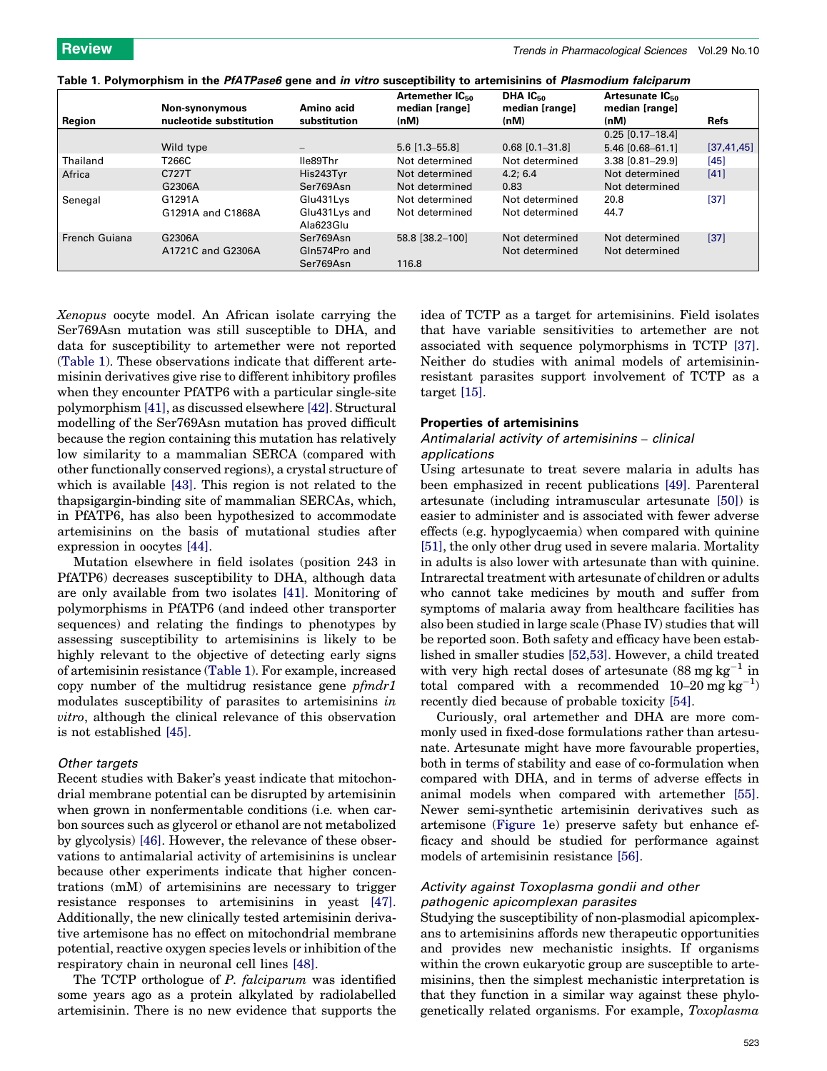|  | Table 1. Polymorphism in the <i>PfATPase6</i> gene and <i>in vitro</i> susceptibility to artemisinins of <i>Plasmodium falciparum</i> |  |
|--|---------------------------------------------------------------------------------------------------------------------------------------|--|
|  |                                                                                                                                       |  |

|               | Non-synonymous              | Amino acid                 | Artemether IC <sub>50</sub><br>median [range] | DHA IC <sub>50</sub><br>median [range] | Artesunate IC <sub>50</sub><br>median [range] |              |
|---------------|-----------------------------|----------------------------|-----------------------------------------------|----------------------------------------|-----------------------------------------------|--------------|
| Region        | nucleotide substitution     | substitution               | (nM)                                          | (nM)                                   | (nM)                                          | <b>Refs</b>  |
|               |                             |                            |                                               |                                        | $0.25$ [0.17-18.4]                            |              |
|               | Wild type                   |                            | $5.6$ [1.3-55.8]                              | $0.68$ [0.1-31.8]                      | $5.46$ [0.68-61.1]                            | [37, 41, 45] |
| Thailand      | T266C                       | lle89Thr                   | Not determined                                | Not determined                         | $3.38$ $[0.81 - 29.9]$                        | [45]         |
| Africa        | C727T                       | His243Tyr                  | Not determined                                | 4.2:6.4                                | Not determined                                | [41]         |
|               | G2306A                      | Ser769Asn                  | Not determined                                | 0.83                                   | Not determined                                |              |
| Senegal       | G1291A                      | Glu431Lys                  | Not determined                                | Not determined                         | 20.8                                          | [37]         |
|               | G1291A and C1868A           | Glu431Lys and<br>Ala623Glu | Not determined                                | Not determined                         | 44.7                                          |              |
| French Guiana | G2306A<br>A1721C and G2306A | Ser769Asn<br>Gln574Pro and | 58.8 [38.2-100]                               | Not determined<br>Not determined       | Not determined<br>Not determined              | $[37]$       |
|               |                             | Ser769Asn                  | 116.8                                         |                                        |                                               |              |

Xenopus oocyte model. An African isolate carrying the Ser769Asn mutation was still susceptible to DHA, and data for susceptibility to artemether were not reported (Table 1). These observations indicate that different artemisinin derivatives give rise to different inhibitory profiles when they encounter PfATP6 with a particular single-site polymorphism [\[41\]](#page-6-0), as discussed elsewhere [\[42\].](#page-6-0) Structural modelling of the Ser769Asn mutation has proved difficult because the region containing this mutation has relatively low similarity to a mammalian SERCA (compared with other functionally conserved regions), a crystal structure of which is available [\[43\]](#page-6-0). This region is not related to the thapsigargin-binding site of mammalian SERCAs, which, in PfATP6, has also been hypothesized to accommodate artemisinins on the basis of mutational studies after expression in oocytes [\[44\].](#page-6-0)

Mutation elsewhere in field isolates (position 243 in PfATP6) decreases susceptibility to DHA, although data are only available from two isolates [\[41\]](#page-6-0). Monitoring of polymorphisms in PfATP6 (and indeed other transporter sequences) and relating the findings to phenotypes by assessing susceptibility to artemisinins is likely to be highly relevant to the objective of detecting early signs of artemisinin resistance (Table 1). For example, increased copy number of the multidrug resistance gene pfmdr1 modulates susceptibility of parasites to artemisinins in vitro, although the clinical relevance of this observation is not established [\[45\]](#page-6-0).

#### Other targets

Recent studies with Baker's yeast indicate that mitochondrial membrane potential can be disrupted by artemisinin when grown in nonfermentable conditions (i.e. when carbon sources such as glycerol or ethanol are not metabolized by glycolysis) [\[46\].](#page-6-0) However, the relevance of these observations to antimalarial activity of artemisinins is unclear because other experiments indicate that higher concentrations (mM) of artemisinins are necessary to trigger resistance responses to artemisinins in yeast [\[47\]](#page-6-0). Additionally, the new clinically tested artemisinin derivative artemisone has no effect on mitochondrial membrane potential, reactive oxygen species levels or inhibition of the respiratory chain in neuronal cell lines [\[48\]](#page-6-0).

The TCTP orthologue of P. falciparum was identified some years ago as a protein alkylated by radiolabelled artemisinin. There is no new evidence that supports the idea of TCTP as a target for artemisinins. Field isolates that have variable sensitivities to artemether are not associated with sequence polymorphisms in TCTP [\[37\]](#page-6-0). Neither do studies with animal models of artemisininresistant parasites support involvement of TCTP as a target [\[15\].](#page-5-0)

#### Properties of artemisinins

#### Antimalarial activity of artemisinins – clinical applications

Using artesunate to treat severe malaria in adults has been emphasized in recent publications [\[49\]](#page-6-0). Parenteral artesunate (including intramuscular artesunate [\[50\]](#page-6-0)) is easier to administer and is associated with fewer adverse effects (e.g. hypoglycaemia) when compared with quinine [\[51\]](#page-6-0), the only other drug used in severe malaria. Mortality in adults is also lower with artesunate than with quinine. Intrarectal treatment with artesunate of children or adults who cannot take medicines by mouth and suffer from symptoms of malaria away from healthcare facilities has also been studied in large scale (Phase IV) studies that will be reported soon. Both safety and efficacy have been established in smaller studies [\[52,53\]](#page-6-0). However, a child treated with very high rectal doses of artesunate  $(88 \text{ mg kg}^{-1} \text{ in}$ total compared with a recommended  $10-20$  mg  $\text{kg}^{-1}$ ) recently died because of probable toxicity [\[54\]](#page-6-0).

Curiously, oral artemether and DHA are more commonly used in fixed-dose formulations rather than artesunate. Artesunate might have more favourable properties, both in terms of stability and ease of co-formulation when compared with DHA, and in terms of adverse effects in animal models when compared with artemether [\[55\]](#page-6-0). Newer semi-synthetic artemisinin derivatives such as artemisone ([Figure 1e](#page-1-0)) preserve safety but enhance efficacy and should be studied for performance against models of artemisinin resistance [\[56\].](#page-6-0)

### Activity against Toxoplasma gondii and other pathogenic apicomplexan parasites

Studying the susceptibility of non-plasmodial apicomplexans to artemisinins affords new therapeutic opportunities and provides new mechanistic insights. If organisms within the crown eukaryotic group are susceptible to artemisinins, then the simplest mechanistic interpretation is that they function in a similar way against these phylogenetically related organisms. For example, Toxoplasma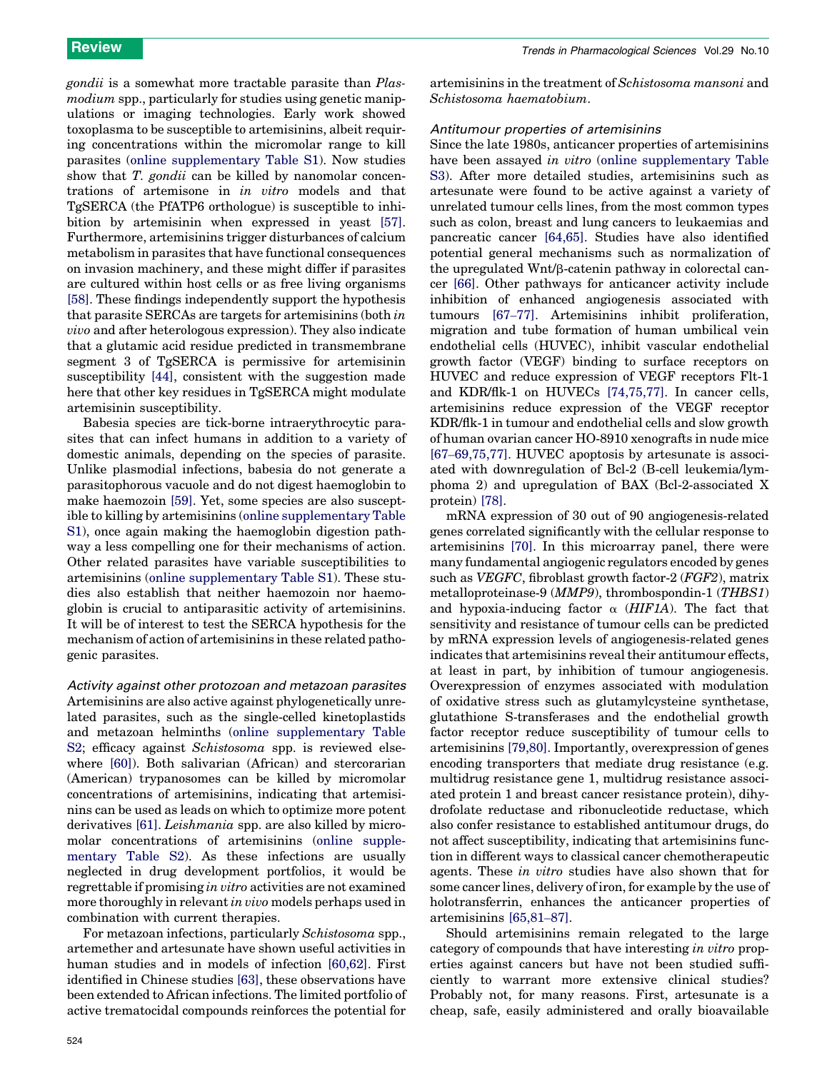gondii is a somewhat more tractable parasite than Plasmodium spp., particularly for studies using genetic manipulations or imaging technologies. Early work showed toxoplasma to be susceptible to artemisinins, albeit requiring concentrations within the micromolar range to kill parasites (online supplementary Table S1). Now studies show that T. gondii can be killed by nanomolar concentrations of artemisone in in vitro models and that TgSERCA (the PfATP6 orthologue) is susceptible to inhibition by artemisinin when expressed in yeast [\[57\]](#page-6-0). Furthermore, artemisinins trigger disturbances of calcium metabolism in parasites that have functional consequences on invasion machinery, and these might differ if parasites are cultured within host cells or as free living organisms [\[58\]](#page-6-0). These findings independently support the hypothesis that parasite SERCAs are targets for artemisinins (both in vivo and after heterologous expression). They also indicate that a glutamic acid residue predicted in transmembrane segment 3 of TgSERCA is permissive for artemisinin susceptibility [\[44\],](#page-6-0) consistent with the suggestion made here that other key residues in TgSERCA might modulate artemisinin susceptibility.

Babesia species are tick-borne intraerythrocytic parasites that can infect humans in addition to a variety of domestic animals, depending on the species of parasite. Unlike plasmodial infections, babesia do not generate a parasitophorous vacuole and do not digest haemoglobin to make haemozoin [\[59\].](#page-6-0) Yet, some species are also susceptible to killing by artemisinins (online supplementary Table S1), once again making the haemoglobin digestion pathway a less compelling one for their mechanisms of action. Other related parasites have variable susceptibilities to artemisinins (online supplementary Table S1). These studies also establish that neither haemozoin nor haemoglobin is crucial to antiparasitic activity of artemisinins. It will be of interest to test the SERCA hypothesis for the mechanism of action of artemisinins in these related pathogenic parasites.

Activity against other protozoan and metazoan parasites Artemisinins are also active against phylogenetically unrelated parasites, such as the single-celled kinetoplastids and metazoan helminths (online supplementary Table S2; efficacy against *Schistosoma* spp. is reviewed elsewhere [\[60\]\)](#page-6-0). Both salivarian (African) and stercorarian (American) trypanosomes can be killed by micromolar concentrations of artemisinins, indicating that artemisinins can be used as leads on which to optimize more potent derivatives [\[61\]](#page-6-0). *Leishmania* spp. are also killed by micromolar concentrations of artemisinins (online supplementary Table S2). As these infections are usually neglected in drug development portfolios, it would be regrettable if promising in vitro activities are not examined more thoroughly in relevant in vivo models perhaps used in combination with current therapies.

For metazoan infections, particularly Schistosoma spp., artemether and artesunate have shown useful activities in human studies and in models of infection [\[60,62\]](#page-6-0). First identified in Chinese studies [\[63\]](#page-6-0), these observations have been extended to African infections. The limited portfolio of active trematocidal compounds reinforces the potential for artemisinins in the treatment of Schistosoma mansoni and Schistosoma haematobium.

### Antitumour properties of artemisinins

Since the late 1980s, anticancer properties of artemisinins have been assayed in vitro (online supplementary Table S3). After more detailed studies, artemisinins such as artesunate were found to be active against a variety of unrelated tumour cells lines, from the most common types such as colon, breast and lung cancers to leukaemias and pancreatic cancer [\[64,65\].](#page-6-0) Studies have also identified potential general mechanisms such as normalization of the upregulated Wnt/ $\beta$ -catenin pathway in colorectal cancer [\[66\]](#page-6-0). Other pathways for anticancer activity include inhibition of enhanced angiogenesis associated with tumours [67–[77\]](#page-6-0). Artemisinins inhibit proliferation, migration and tube formation of human umbilical vein endothelial cells (HUVEC), inhibit vascular endothelial growth factor (VEGF) binding to surface receptors on HUVEC and reduce expression of VEGF receptors Flt-1 and KDR/flk-1 on HUVECs [\[74,75,77\]](#page-6-0). In cancer cells, artemisinins reduce expression of the VEGF receptor KDR/flk-1 in tumour and endothelial cells and slow growth of human ovarian cancer HO-8910 xenografts in nude mice [67–[69,75,77\]](#page-6-0). HUVEC apoptosis by artesunate is associated with downregulation of Bcl-2 (B-cell leukemia/lymphoma 2) and upregulation of BAX (Bcl-2-associated X protein) [\[78\].](#page-7-0)

mRNA expression of 30 out of 90 angiogenesis-related genes correlated significantly with the cellular response to artemisinins [\[70\].](#page-6-0) In this microarray panel, there were many fundamental angiogenic regulators encoded by genes such as VEGFC, fibroblast growth factor-2 (FGF2), matrix metalloproteinase-9 (MMP9), thrombospondin-1 (THBS1) and hypoxia-inducing factor  $\alpha$  (HIF1A). The fact that sensitivity and resistance of tumour cells can be predicted by mRNA expression levels of angiogenesis-related genes indicates that artemisinins reveal their antitumour effects, at least in part, by inhibition of tumour angiogenesis. Overexpression of enzymes associated with modulation of oxidative stress such as glutamylcysteine synthetase, glutathione S-transferases and the endothelial growth factor receptor reduce susceptibility of tumour cells to artemisinins [\[79,80\].](#page-7-0) Importantly, overexpression of genes encoding transporters that mediate drug resistance (e.g. multidrug resistance gene 1, multidrug resistance associated protein 1 and breast cancer resistance protein), dihydrofolate reductase and ribonucleotide reductase, which also confer resistance to established antitumour drugs, do not affect susceptibility, indicating that artemisinins function in different ways to classical cancer chemotherapeutic agents. These in vitro studies have also shown that for some cancer lines, delivery of iron, for example by the use of holotransferrin, enhances the anticancer properties of artemisinins [\[65,81](#page-6-0)–87].

Should artemisinins remain relegated to the large category of compounds that have interesting in vitro properties against cancers but have not been studied sufficiently to warrant more extensive clinical studies? Probably not, for many reasons. First, artesunate is a cheap, safe, easily administered and orally bioavailable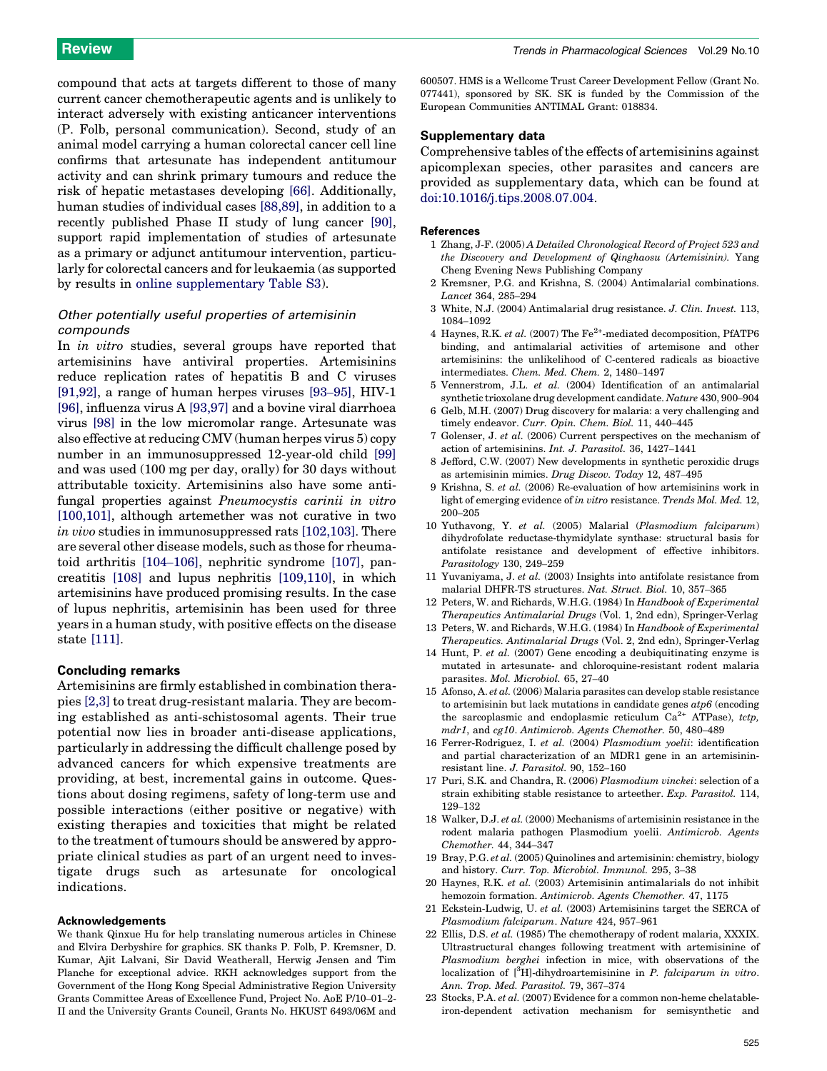<span id="page-5-0"></span>compound that acts at targets different to those of many current cancer chemotherapeutic agents and is unlikely to interact adversely with existing anticancer interventions (P. Folb, personal communication). Second, study of an animal model carrying a human colorectal cancer cell line confirms that artesunate has independent antitumour activity and can shrink primary tumours and reduce the risk of hepatic metastases developing [\[66\].](#page-6-0) Additionally, human studies of individual cases [\[88,89\]](#page-7-0), in addition to a recently published Phase II study of lung cancer [\[90\]](#page-7-0), support rapid implementation of studies of artesunate as a primary or adjunct antitumour intervention, particularly for colorectal cancers and for leukaemia (as supported by results in online supplementary Table S3).

### Other potentially useful properties of artemisinin compounds

In *in vitro* studies, several groups have reported that artemisinins have antiviral properties. Artemisinins reduce replication rates of hepatitis B and C viruses [\[91,92\]](#page-7-0), a range of human herpes viruses [93–[95\],](#page-7-0) HIV-1 [\[96\]](#page-7-0), influenza virus A [\[93,97\]](#page-7-0) and a bovine viral diarrhoea virus [\[98\]](#page-7-0) in the low micromolar range. Artesunate was also effective at reducing CMV (human herpes virus 5) copy number in an immunosuppressed 12-year-old child [\[99\]](#page-7-0) and was used (100 mg per day, orally) for 30 days without attributable toxicity. Artemisinins also have some antifungal properties against Pneumocystis carinii in vitro [\[100,101\],](#page-7-0) although artemether was not curative in two in vivo studies in immunosuppressed rats [\[102,103\]](#page-7-0). There are several other disease models, such as those for rheumatoid arthritis [\[104](#page-7-0)–106], nephritic syndrome [\[107\]](#page-7-0), pancreatitis [\[108\]](#page-7-0) and lupus nephritis [\[109,110\]](#page-7-0), in which artemisinins have produced promising results. In the case of lupus nephritis, artemisinin has been used for three years in a human study, with positive effects on the disease state [\[111\]](#page-7-0).

#### Concluding remarks

Artemisinins are firmly established in combination therapies [2,3] to treat drug-resistant malaria. They are becoming established as anti-schistosomal agents. Their true potential now lies in broader anti-disease applications, particularly in addressing the difficult challenge posed by advanced cancers for which expensive treatments are providing, at best, incremental gains in outcome. Questions about dosing regimens, safety of long-term use and possible interactions (either positive or negative) with existing therapies and toxicities that might be related to the treatment of tumours should be answered by appropriate clinical studies as part of an urgent need to investigate drugs such as artesunate for oncological indications.

#### Acknowledgements

We thank Qinxue Hu for help translating numerous articles in Chinese and Elvira Derbyshire for graphics. SK thanks P. Folb, P. Kremsner, D. Kumar, Ajit Lalvani, Sir David Weatherall, Herwig Jensen and Tim Planche for exceptional advice. RKH acknowledges support from the Government of the Hong Kong Special Administrative Region University Grants Committee Areas of Excellence Fund, Project No. AoE P/10–01–2- II and the University Grants Council, Grants No. HKUST 6493/06M and

600507. HMS is a Wellcome Trust Career Development Fellow (Grant No.  $077441$ ), sponsored by SK. SK is funded by the Commission of the European Communities ANTIMAL Grant: 018834.

#### Supplementary data

Comprehensive tables of the effects of artemisinins against apicomplexan species, other parasites and cancers are provided as supplementary data, which can be found at [doi:10.1016/j.tips.2008.07.004.](http://dx.doi.org/10.1016/j.tips.2008.07.004)

#### References

- 1 Zhang, J-F. (2005) A Detailed Chronological Record of Project 523 and the Discovery and Development of Qinghaosu (Artemisinin). Yang Cheng Evening News Publishing Company
- 2 Kremsner, P.G. and Krishna, S. (2004) Antimalarial combinations. Lancet 364, 285–294
- 3 White, N.J. (2004) Antimalarial drug resistance. J. Clin. Invest. 113, 1084–1092
- 4 Haynes, R.K. et al. (2007) The  $Fe^{2+}$ -mediated decomposition, PfATP6 binding, and antimalarial activities of artemisone and other artemisinins: the unlikelihood of C-centered radicals as bioactive intermediates. Chem. Med. Chem. 2, 1480–1497
- 5 Vennerstrom, J.L. et al. (2004) Identification of an antimalarial synthetic trioxolane drug development candidate. Nature 430, 900–904
- 6 Gelb, M.H. (2007) Drug discovery for malaria: a very challenging and timely endeavor. Curr. Opin. Chem. Biol. 11, 440-445
- 7 Golenser, J. et al. (2006) Current perspectives on the mechanism of action of artemisinins. Int. J. Parasitol. 36, 1427–1441
- 8 Jefford, C.W. (2007) New developments in synthetic peroxidic drugs as artemisinin mimics. Drug Discov. Today 12, 487–495
- 9 Krishna, S. et al. (2006) Re-evaluation of how artemisinins work in light of emerging evidence of in vitro resistance. Trends Mol. Med. 12, 200–205
- 10 Yuthavong, Y. et al. (2005) Malarial (Plasmodium falciparum) dihydrofolate reductase-thymidylate synthase: structural basis for antifolate resistance and development of effective inhibitors. Parasitology 130, 249–259
- 11 Yuvaniyama, J. et al. (2003) Insights into antifolate resistance from malarial DHFR-TS structures. Nat. Struct. Biol. 10, 357–365
- 12 Peters, W. and Richards, W.H.G. (1984) In Handbook of Experimental Therapeutics Antimalarial Drugs (Vol. 1, 2nd edn), Springer-Verlag
- 13 Peters, W. and Richards, W.H.G. (1984) In Handbook of Experimental Therapeutics. Antimalarial Drugs (Vol. 2, 2nd edn), Springer-Verlag
- 14 Hunt, P. et al. (2007) Gene encoding a deubiquitinating enzyme is mutated in artesunate- and chloroquine-resistant rodent malaria parasites. Mol. Microbiol. 65, 27–40
- 15 Afonso, A. et al. (2006) Malaria parasites can develop stable resistance to artemisinin but lack mutations in candidate genes  $atp6$  (encoding the sarcoplasmic and endoplasmic reticulum  $Ca^{2+}$  ATPase), tctp, mdr1, and cg10. Antimicrob. Agents Chemother. 50, 480–489
- 16 Ferrer-Rodriguez, I. et al. (2004) Plasmodium yoelii: identification and partial characterization of an MDR1 gene in an artemisininresistant line. J. Parasitol. 90, 152–160
- 17 Puri, S.K. and Chandra, R. (2006) Plasmodium vinckei: selection of a strain exhibiting stable resistance to arteether. Exp. Parasitol. 114, 129–132
- 18 Walker, D.J. et al. (2000) Mechanisms of artemisinin resistance in the rodent malaria pathogen Plasmodium yoelii. Antimicrob. Agents Chemother. 44, 344–347
- 19 Bray, P.G. et al. (2005) Quinolines and artemisinin: chemistry, biology and history. Curr. Top. Microbiol. Immunol. 295, 3–38
- 20 Haynes, R.K. et al. (2003) Artemisinin antimalarials do not inhibit hemozoin formation. Antimicrob. Agents Chemother. 47, 1175
- 21 Eckstein-Ludwig, U. et al. (2003) Artemisinins target the SERCA of Plasmodium falciparum. Nature 424, 957–961
- 22 Ellis, D.S. et al. (1985) The chemotherapy of rodent malaria, XXXIX. Ultrastructural changes following treatment with artemisinine of Plasmodium berghei infection in mice, with observations of the localization of [<sup>3</sup>H]-dihydroartemisinine in P. falciparum in vitro. Ann. Trop. Med. Parasitol. 79, 367–374
- 23 Stocks, P.A. et al. (2007) Evidence for a common non-heme chelatableiron-dependent activation mechanism for semisynthetic and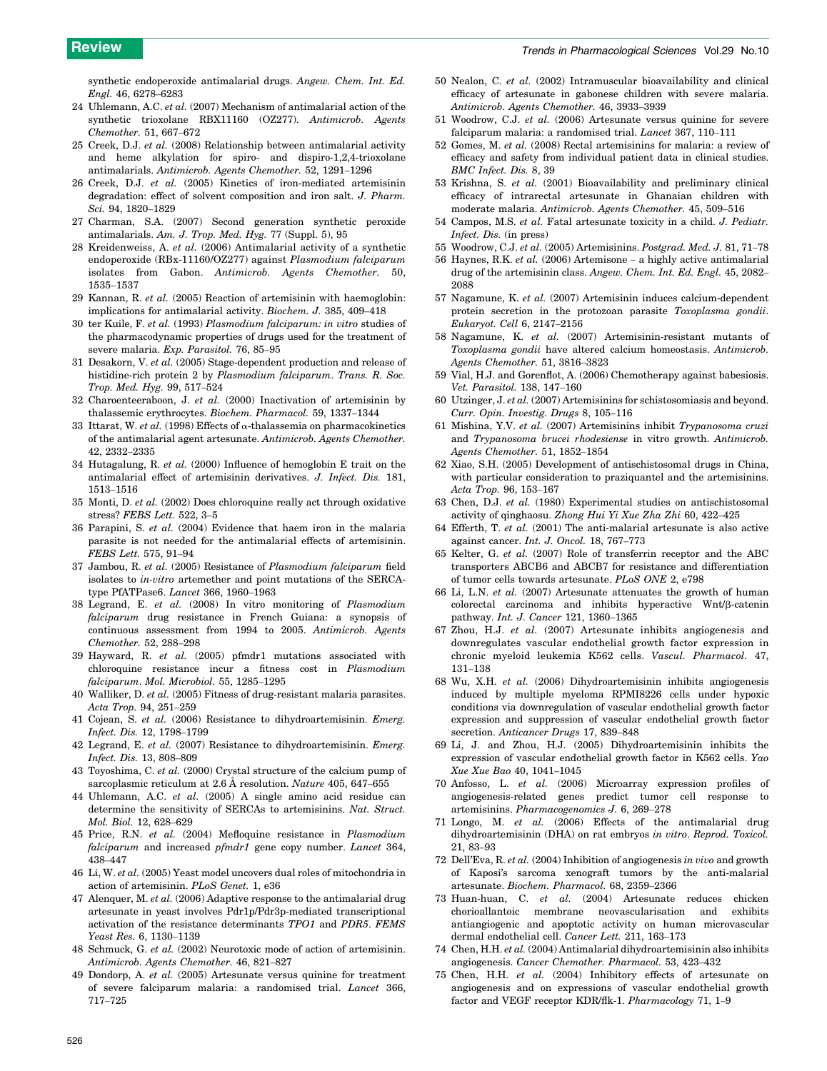<span id="page-6-0"></span>synthetic endoperoxide antimalarial drugs. Angew. Chem. Int. Ed. Engl. 46, 6278–6283

- 24 Uhlemann, A.C. et al. (2007) Mechanism of antimalarial action of the synthetic trioxolane RBX11160 (OZ277). Antimicrob. Agents Chemother. 51, 667–672
- 25 Creek, D.J. et al. (2008) Relationship between antimalarial activity and heme alkylation for spiro- and dispiro-1,2,4-trioxolane antimalarials. Antimicrob. Agents Chemother. 52, 1291–1296
- 26 Creek, D.J. et al. (2005) Kinetics of iron-mediated artemisinin degradation: effect of solvent composition and iron salt. J. Pharm. Sci. 94, 1820–1829
- 27 Charman, S.A. (2007) Second generation synthetic peroxide antimalarials. Am. J. Trop. Med. Hyg. 77 (Suppl. 5), 95
- 28 Kreidenweiss, A. et al. (2006) Antimalarial activity of a synthetic endoperoxide (RBx-11160/OZ277) against Plasmodium falciparum isolates from Gabon. Antimicrob. Agents Chemother. 50, 1535–1537
- 29 Kannan, R. et al. (2005) Reaction of artemisinin with haemoglobin: implications for antimalarial activity. Biochem. J. 385, 409–418
- 30 ter Kuile, F. et al. (1993) Plasmodium falciparum: in vitro studies of the pharmacodynamic properties of drugs used for the treatment of severe malaria. Exp. Parasitol. 76, 85–95
- 31 Desakorn, V. et al. (2005) Stage-dependent production and release of histidine-rich protein 2 by Plasmodium falciparum. Trans. R. Soc. Trop. Med. Hyg. 99, 517–524
- 32 Charoenteeraboon, J. et al.  $(2000)$  Inactivation of artemisinin by thalassemic erythrocytes. Biochem. Pharmacol. 59, 1337–1344
- 33 Ittarat, W. et al. (1998) Effects of  $\alpha$ -thalassemia on pharmacokinetics of the antimalarial agent artesunate. Antimicrob. Agents Chemother. 42, 2332–2335
- 34 Hutagalung, R. et al. (2000) Influence of hemoglobin E trait on the antimalarial effect of artemisinin derivatives. J. Infect. Dis. 181, 1513–1516
- 35 Monti, D. et al. (2002) Does chloroquine really act through oxidative stress? FEBS Lett. 522, 3–5
- 36 Parapini, S. et al. (2004) Evidence that haem iron in the malaria parasite is not needed for the antimalarial effects of artemisinin. FEBS Lett. 575, 91–94
- 37 Jambou, R. et al. (2005) Resistance of Plasmodium falciparum field isolates to in-vitro artemether and point mutations of the SERCAtype PfATPase6. Lancet 366, 1960–1963
- 38 Legrand, E. et al. (2008) In vitro monitoring of Plasmodium falciparum drug resistance in French Guiana: a synopsis of continuous assessment from 1994 to 2005. Antimicrob. Agents Chemother. 52, 288–298
- 39 Hayward, R. et al. (2005) pfmdr1 mutations associated with chloroquine resistance incur a fitness cost in Plasmodium falciparum. Mol. Microbiol. 55, 1285–1295
- 40 Walliker, D. et al. (2005) Fitness of drug-resistant malaria parasites. Acta Trop. 94, 251–259
- 41 Cojean, S. et al. (2006) Resistance to dihydroartemisinin. Emerg. Infect. Dis. 12, 1798–1799
- 42 Legrand, E. et al. (2007) Resistance to dihydroartemisinin. Emerg. Infect. Dis. 13, 808–809
- 43 Toyoshima, C. et al. (2000) Crystal structure of the calcium pump of sarcoplasmic reticulum at 2.6 A resolution. Nature 405, 647-655
- 44 Uhlemann, A.C. et al. (2005) A single amino acid residue can determine the sensitivity of SERCAs to artemisinins. Nat. Struct. Mol. Biol. 12, 628–629
- 45 Price, R.N. et al. (2004) Mefloquine resistance in Plasmodium falciparum and increased pfmdr1 gene copy number. Lancet 364, 438–447
- 46 Li, W. et al. (2005) Yeast model uncovers dual roles of mitochondria in action of artemisinin. PLoS Genet. 1, e36
- 47 Alenquer, M. et al. (2006) Adaptive response to the antimalarial drug artesunate in yeast involves Pdr1p/Pdr3p-mediated transcriptional activation of the resistance determinants TPO1 and PDR5. FEMS Yeast Res. 6, 1130–1139
- 48 Schmuck, G. et al. (2002) Neurotoxic mode of action of artemisinin. Antimicrob. Agents Chemother. 46, 821–827
- 49 Dondorp, A. et al. (2005) Artesunate versus quinine for treatment of severe falciparum malaria: a randomised trial. Lancet 366, 717–725
- 50 Nealon, C. et al. (2002) Intramuscular bioavailability and clinical efficacy of artesunate in gabonese children with severe malaria. Antimicrob. Agents Chemother. 46, 3933–3939
- 51 Woodrow, C.J. et al. (2006) Artesunate versus quinine for severe falciparum malaria: a randomised trial. Lancet 367, 110–111
- 52 Gomes, M. et al. (2008) Rectal artemisinins for malaria: a review of efficacy and safety from individual patient data in clinical studies. BMC Infect. Dis. 8, 39
- 53 Krishna, S. et al. (2001) Bioavailability and preliminary clinical efficacy of intrarectal artesunate in Ghanaian children with moderate malaria. Antimicrob. Agents Chemother. 45, 509–516
- 54 Campos, M.S. et al. Fatal artesunate toxicity in a child. J. Pediatr. Infect. Dis. (in press)
- 55 Woodrow, C.J. et al. (2005) Artemisinins. Postgrad. Med. J. 81, 71–78
- 56 Haynes, R.K. et al. (2006) Artemisone a highly active antimalarial drug of the artemisinin class. Angew. Chem. Int. Ed. Engl. 45, 2082-2088
- 57 Nagamune, K. et al. (2007) Artemisinin induces calcium-dependent protein secretion in the protozoan parasite Toxoplasma gondii. Eukaryot. Cell 6, 2147–2156
- 58 Nagamune, K. et al. (2007) Artemisinin-resistant mutants of Toxoplasma gondii have altered calcium homeostasis. Antimicrob. Agents Chemother. 51, 3816–3823
- 59 Vial, H.J. and Gorenflot, A. (2006) Chemotherapy against babesiosis. Vet. Parasitol. 138, 147–160
- 60 Utzinger, J. et al.  $(2007)$  Artemisinins for schistosomiasis and beyond. Curr. Opin. Investig. Drugs 8, 105–116
- 61 Mishina, Y.V. et al. (2007) Artemisinins inhibit Trypanosoma cruzi and Trypanosoma brucei rhodesiense in vitro growth. Antimicrob. Agents Chemother. 51, 1852–1854
- 62 Xiao, S.H. (2005) Development of antischistosomal drugs in China, with particular consideration to praziquantel and the artemisinins. Acta Trop. 96, 153–167
- 63 Chen, D.J. et al. (1980) Experimental studies on antischistosomal activity of qinghaosu. Zhong Hui Yi Xue Zha Zhi 60, 422–425
- 64 Efferth, T. et al. (2001) The anti-malarial artesunate is also active against cancer. Int. J. Oncol. 18, 767–773
- 65 Kelter, G. et al. (2007) Role of transferrin receptor and the ABC transporters ABCB6 and ABCB7 for resistance and differentiation of tumor cells towards artesunate. PLoS ONE 2, e798
- 66 Li, L.N. et al. (2007) Artesunate attenuates the growth of human colorectal carcinoma and inhibits hyperactive Wnt/ $\beta$ -catenin pathway. Int. J. Cancer 121, 1360–1365
- 67 Zhou, H.J. et al. (2007) Artesunate inhibits angiogenesis and downregulates vascular endothelial growth factor expression in chronic myeloid leukemia K562 cells. Vascul. Pharmacol. 47, 131–138
- 68 Wu, X.H. et al. (2006) Dihydroartemisinin inhibits angiogenesis induced by multiple myeloma RPMI8226 cells under hypoxic conditions via downregulation of vascular endothelial growth factor expression and suppression of vascular endothelial growth factor secretion. Anticancer Drugs 17, 839–848
- 69 Li, J. and Zhou, H.J. (2005) Dihydroartemisinin inhibits the expression of vascular endothelial growth factor in K562 cells. Yao Xue Xue Bao 40, 1041–1045
- 70 Anfosso, L. et al. (2006) Microarray expression profiles of angiogenesis-related genes predict tumor cell response to artemisinins. Pharmacogenomics J. 6, 269–278
- 71 Longo, M. et al. (2006) Effects of the antimalarial drug dihydroartemisinin (DHA) on rat embryos in vitro. Reprod. Toxicol. 21, 83–93
- 72 Dell'Eva, R. et al. (2004) Inhibition of angiogenesis in vivo and growth of Kaposi's sarcoma xenograft tumors by the anti-malarial artesunate. Biochem. Pharmacol. 68, 2359–2366
- 73 Huan-huan, C. et al. (2004) Artesunate reduces chicken chorioallantoic membrane neovascularisation and exhibits antiangiogenic and apoptotic activity on human microvascular dermal endothelial cell. Cancer Lett. 211, 163–173
- 74 Chen, H.H. et al. (2004) Antimalarial dihydroartemisinin also inhibits angiogenesis. Cancer Chemother. Pharmacol. 53, 423–432
- 75 Chen, H.H. et al. (2004) Inhibitory effects of artesunate on angiogenesis and on expressions of vascular endothelial growth factor and VEGF receptor KDR/flk-1. Pharmacology 71, 1–9